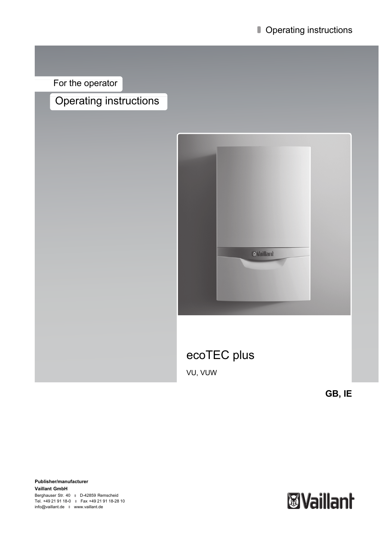For the operator

# Operating instructions



**GB, IE**

**Publisher/manufacturer Vaillant GmbH** Berghauser Str. 40 D-42859 Remscheid Tel. +49 21 91 18-0 | Fax +49 21 91 18-28 10 info@vaillant.de www.vaillant.de

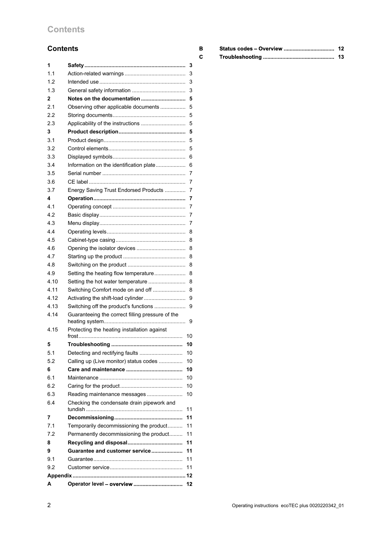## **Contents**

## **Contents**

| 1    |                                                  | 3  |
|------|--------------------------------------------------|----|
| 1.1  |                                                  | 3  |
| 1.2  |                                                  | 3  |
| 1.3  |                                                  | 3  |
| 2    | Notes on the documentation                       | 5  |
| 2.1  | Observing other applicable documents             | 5  |
| 2.2  |                                                  | 5  |
| 2.3  |                                                  | 5  |
| 3    |                                                  | 5  |
| 3.1  |                                                  | 5  |
| 3.2  |                                                  | 5  |
| 3.3  |                                                  | 6  |
| 3.4  | Information on the identification plate          | 6  |
| 3.5  |                                                  | 7  |
| 3.6  |                                                  | 7  |
| 3.7  | Energy Saving Trust Endorsed Products            | 7  |
| 4    |                                                  | 7  |
| 4.1  |                                                  | 7  |
| 4.2  |                                                  | 7  |
| 4.3  |                                                  | 7  |
| 4.4  |                                                  | 8  |
| 4.5  |                                                  | 8  |
| 4.6  |                                                  | 8  |
| 4.7  |                                                  | 8  |
| 4.8  |                                                  | 8  |
| 4.9  | Setting the heating flow temperature             | 8  |
| 4.10 | Setting the hot water temperature                | 8  |
| 4.11 | Switching Comfort mode on and off                | 8  |
| 4.12 | Activating the shift-load cylinder               |    |
| 4.13 |                                                  | 9  |
| 4.14 | Switching off the product's functions            | 9  |
|      | Guaranteeing the correct filling pressure of the | 9  |
| 4.15 | Protecting the heating installation against      |    |
|      |                                                  | 10 |
| 5    |                                                  | 10 |
| 5.1  | Detecting and rectifying faults                  | 10 |
| 5.2  | Calling up (Live monitor) status codes           | 10 |
| 6    |                                                  | 10 |
| 6.1  |                                                  | 10 |
| 6.2  |                                                  | 10 |
| 6.3  | Reading maintenance messages                     | 10 |
| 6.4  | Checking the condensate drain pipework and       | 11 |
| 7    |                                                  | 11 |
| 7.1  | Temporarily decommissioning the product          | 11 |
| 7.2  | Permanently decommissioning the product          | 11 |
| 8    |                                                  | 11 |
| 9    | Guarantee and customer service                   | 11 |
| 9.1  |                                                  | 11 |
| 9.2  |                                                  | 11 |
|      |                                                  |    |
| A    | Operator level - overview                        | 12 |
|      |                                                  |    |

| в | Status codes - Overview | 12 |
|---|-------------------------|----|
| c |                         | 13 |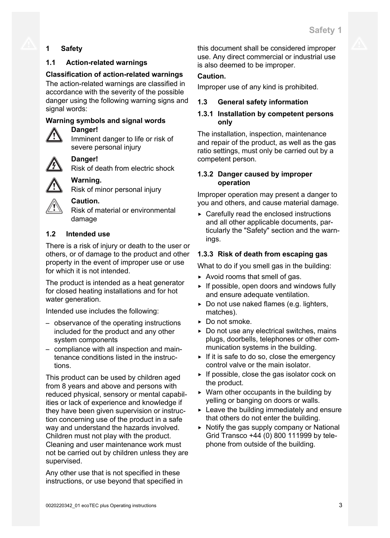## **1 Safety**

## **1.1 Action-related warnings**

## **Classification of action-related warnings**

The action-related warnings are classified in accordance with the severity of the possible danger using the following warning signs and signal words:

## **Warning symbols and signal words**

## **Danger!**

Imminent danger to life or risk of severe personal injury



## **Danger!**

Risk of death from electric shock



## **Warning.**

Risk of minor personal injury



## **Caution.**

Risk of material or environmental damage

## **1.2 Intended use**

There is a risk of injury or death to the user or others, or of damage to the product and other property in the event of improper use or use for which it is not intended.

The product is intended as a heat generator for closed heating installations and for hot water generation.

Intended use includes the following:

- observance of the operating instructions included for the product and any other system components
- compliance with all inspection and maintenance conditions listed in the instructions.

This product can be used by children aged from 8 years and above and persons with reduced physical, sensory or mental capabilities or lack of experience and knowledge if they have been given supervision or instruction concerning use of the product in a safe way and understand the hazards involved. Children must not play with the product. Cleaning and user maintenance work must not be carried out by children unless they are supervised.

Any other use that is not specified in these instructions, or use beyond that specified in this document shall be considered improper use. Any direct commercial or industrial use is also deemed to be improper.

## **Caution.**

Improper use of any kind is prohibited.

## **1.3 General safety information**

## **1.3.1 Installation by competent persons only**

The installation, inspection, maintenance and repair of the product, as well as the gas ratio settings, must only be carried out by a competent person.

## **1.3.2 Danger caused by improper operation**

Improper operation may present a danger to you and others, and cause material damage.

 $\triangleright$  Carefully read the enclosed instructions and all other applicable documents, particularly the "Safety" section and the warnings.

## **1.3.3 Risk of death from escaping gas**

What to do if you smell gas in the building:

- $\triangleright$  Avoid rooms that smell of gas.
- ▶ If possible, open doors and windows fully and ensure adequate ventilation.
- $\triangleright$  Do not use naked flames (e.g. lighters, matches).
- ▶ Do not smoke.
- $\triangleright$  Do not use any electrical switches, mains plugs, doorbells, telephones or other communication systems in the building.
- $\triangleright$  If it is safe to do so, close the emergency control valve or the main isolator.
- $\triangleright$  If possible, close the gas isolator cock on the product.
- $\triangleright$  Warn other occupants in the building by yelling or banging on doors or walls.
- $\blacktriangleright$  Leave the building immediately and ensure that others do not enter the building.
- $\triangleright$  Notify the gas supply company or National Grid Transco +44 (0) 800 111999 by telephone from outside of the building.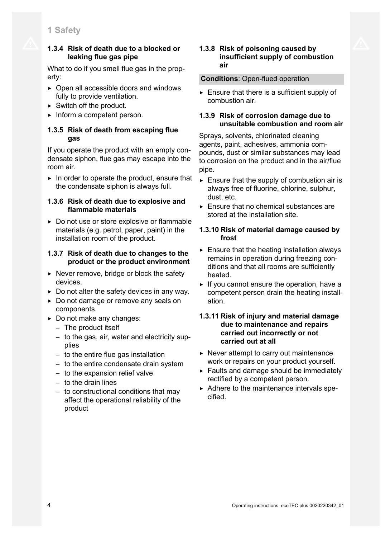## **1.3.4 Risk of death due to a blocked or leaking flue gas pipe**

What to do if you smell flue gas in the property:

- $\triangleright$  Open all accessible doors and windows fully to provide ventilation.
- $\triangleright$  Switch off the product.
- ▶ Inform a competent person.

## **1.3.5 Risk of death from escaping flue gas**

If you operate the product with an empty condensate siphon, flue gas may escape into the room air.

 $\blacktriangleright$  In order to operate the product, ensure that the condensate siphon is always full.

## **1.3.6 Risk of death due to explosive and flammable materials**

▶ Do not use or store explosive or flammable materials (e.g. petrol, paper, paint) in the installation room of the product.

## **1.3.7 Risk of death due to changes to the product or the product environment**

- $\triangleright$  Never remove, bridge or block the safety devices.
- $\triangleright$  Do not alter the safety devices in any way.
- ▶ Do not damage or remove any seals on components.
- ▶ Do not make any changes:
	- The product itself
	- to the gas, air, water and electricity supplies
	- to the entire flue gas installation
	- to the entire condensate drain system
	- to the expansion relief valve
	- to the drain lines
	- to constructional conditions that may affect the operational reliability of the product

## **1.3.8 Risk of poisoning caused by insufficient supply of combustion air**

## **Conditions**: Open-flued operation

 $\blacktriangleright$  Ensure that there is a sufficient supply of combustion air.

## **1.3.9 Risk of corrosion damage due to unsuitable combustion and room air**

Sprays, solvents, chlorinated cleaning agents, paint, adhesives, ammonia compounds, dust or similar substances may lead to corrosion on the product and in the air/flue pipe.

- $\triangleright$  Ensure that the supply of combustion air is always free of fluorine, chlorine, sulphur, dust, etc.
- $\blacktriangleright$  Ensure that no chemical substances are stored at the installation site.

## **1.3.10 Risk of material damage caused by frost**

- $\triangleright$  Ensure that the heating installation always remains in operation during freezing conditions and that all rooms are sufficiently heated.
- $\blacktriangleright$  If you cannot ensure the operation, have a competent person drain the heating installation.

## **1.3.11 Risk of injury and material damage due to maintenance and repairs carried out incorrectly or not carried out at all**

- $\triangleright$  Never attempt to carry out maintenance work or repairs on your product yourself.
- $\blacktriangleright$  Faults and damage should be immediately rectified by a competent person.
- ▶ Adhere to the maintenance intervals specified.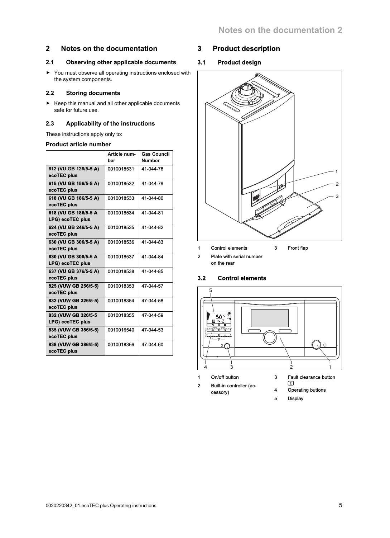## **2 Notes on the documentation**

### **2.1 Observing other applicable documents**

▶ You must observe all operating instructions enclosed with the system components.

#### **2.2 Storing documents**

▶ Keep this manual and all other applicable documents safe for future use.

#### **2.3 Applicability of the instructions**

These instructions apply only to:

#### **Product article number**

|                                                 | Article num-<br>ber | <b>Gas Council</b><br><b>Number</b> |
|-------------------------------------------------|---------------------|-------------------------------------|
| 612 (VU GB 126/5-5 A)<br>ecoTEC plus            | 0010018531          | 41-044-78                           |
| 615 (VU GB 156/5-5 A)<br>ecoTEC plus            | 0010018532          | 41-044-79                           |
| 618 (VU GB 186/5-5 A)<br>ecoTEC plus            | 0010018533          | 41-044-80                           |
| 618 (VU GB 186/5-5 A<br><b>LPG) ecoTEC plus</b> | 0010018534          | 41-044-81                           |
| 624 (VU GB 246/5-5 A)<br>ecoTEC plus            | 0010018535          | 41-044-82                           |
| 630 (VU GB 306/5-5 A)<br>ecoTEC plus            | 0010018536          | 41-044-83                           |
| 630 (VU GB 306/5-5 A<br><b>LPG) ecoTEC plus</b> | 0010018537          | 41-044-84                           |
| 637 (VU GB 376/5-5 A)<br>ecoTEC plus            | 0010018538          | 41-044-85                           |
| 825 (VUW GB 256/5-5)<br>ecoTEC plus             | 0010018353          | 47-044-57                           |
| 832 (VUW GB 326/5-5)<br>ecoTEC plus             | 0010018354          | 47-044-58                           |
| 832 (VUW GB 326/5-5<br><b>LPG) ecoTEC plus</b>  | 0010018355          | 47-044-59                           |
| 835 (VUW GB 356/5-5)<br>ecoTEC plus             | 0010016540          | 47-044-53                           |
| 838 (VUW GB 386/5-5)<br>ecoTEC plus             | 0010018356          | 47-044-60                           |

## **3 Product description**

## **3.1 Product design**



2 Plate with serial number on the rear

### **3.2 Control elements**



- 
- 3 Fault clearance button  $\mathbb{C}$
- 2 Built-in controller (accessory)
- 4 Operating buttons
- 5 Display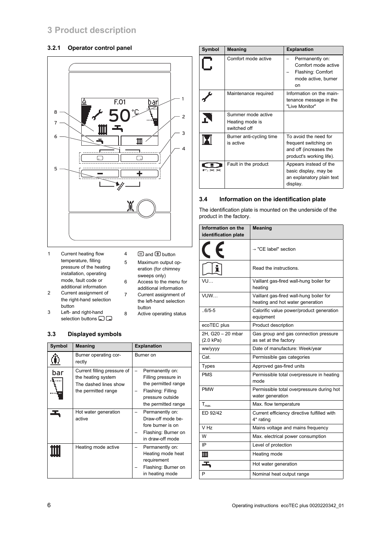## **3 Product description**

### **3.2.1 Operator control panel**



- 1 Current heating flow temperature, filling pressure of the heating installation, operating mode, fault code or additional information
- $4 \square$  and  $\square$  button
- 5 Maximum output operation (for chimney sweeps only)

7 Current assignment of the left-hand selection

8 Active operating status

button

- 6 Access to the menu for additional information
- 2 Current assignment of the right-hand selection button
- 3 Left- and right-hand selection buttons  $\square \square$

### **3.3 Displayed symbols**

| Symbol | <b>Meaning</b>                                                                                    | <b>Explanation</b>                                                                                                            |
|--------|---------------------------------------------------------------------------------------------------|-------------------------------------------------------------------------------------------------------------------------------|
|        | Burner operating cor-<br>rectly                                                                   | Burner on                                                                                                                     |
| bar    | Current filling pressure of<br>the heating system<br>The dashed lines show<br>the permitted range | Permanently on:<br>Filling pressure in<br>the permitted range<br>Flashing: Filling<br>pressure outside<br>the permitted range |
|        | Hot water generation<br>active                                                                    | Permanently on:<br>Draw-off mode be-<br>fore burner is on<br>Flashing: Burner on<br>in draw-off mode                          |
|        | Heating mode active                                                                               | Permanently on:<br>Heating mode heat<br>requirement<br>Flashing: Burner on<br>in heating mode                                 |

| Symbol            | <b>Meaning</b>                                        | <b>Explanation</b>                                                                                   |
|-------------------|-------------------------------------------------------|------------------------------------------------------------------------------------------------------|
|                   | Comfort mode active                                   | Permanently on:<br>Comfort mode active<br>Flashing: Comfort<br>mode active, burner<br>on             |
|                   | Maintenance required                                  | Information on the main-<br>tenance message in the<br>"Live Monitor"                                 |
|                   | Summer mode active<br>Heating mode is<br>switched off |                                                                                                      |
|                   | Burner anti-cycling time<br>is active                 | To avoid the need for<br>frequent switching on<br>and off (increases the<br>product's working life). |
| $\mathbb{\times}$ | Fault in the product                                  | Appears instead of the<br>basic display, may be<br>an explanatory plain text<br>display.             |

### **3.4 Information on the identification plate**

The identification plate is mounted on the underside of the product in the factory.

| Information on the             | <b>Meaning</b>                                                              |  |
|--------------------------------|-----------------------------------------------------------------------------|--|
| identification plate           |                                                                             |  |
|                                | → "CE label" section                                                        |  |
|                                | Read the instructions.                                                      |  |
| VU                             | Vaillant gas-fired wall-hung boiler for<br>heating                          |  |
| VUW                            | Vaillant gas-fired wall-hung boiler for<br>heating and hot water generation |  |
| $.6/5 - 5$                     | Calorific value power/product generation<br>equipment                       |  |
| ecoTEC plus                    | Product description                                                         |  |
| 2H, G20 - 20 mbar<br>(2.0 kPa) | Gas group and gas connection pressure<br>as set at the factory              |  |
| ww/yyyy                        | Date of manufacture: Week/year                                              |  |
| Cat.                           | Permissible gas categories                                                  |  |
| <b>Types</b>                   | Approved gas-fired units                                                    |  |
| <b>PMS</b>                     | Permissible total overpressure in heating<br>mode                           |  |
| <b>PMW</b>                     | Permissible total overpressure during hot<br>water generation               |  |
| $T_{\text{max}}$               | Max. flow temperature                                                       |  |
| ED 92/42                       | Current efficiency directive fulfilled with<br>4* rating                    |  |
| V Hz                           | Mains voltage and mains frequency                                           |  |
| W                              | Max. electrical power consumption                                           |  |
| IP                             | Level of protection                                                         |  |
| Ш                              | Heating mode                                                                |  |
| ᅩ                              | Hot water generation                                                        |  |
| P                              | Nominal heat output range                                                   |  |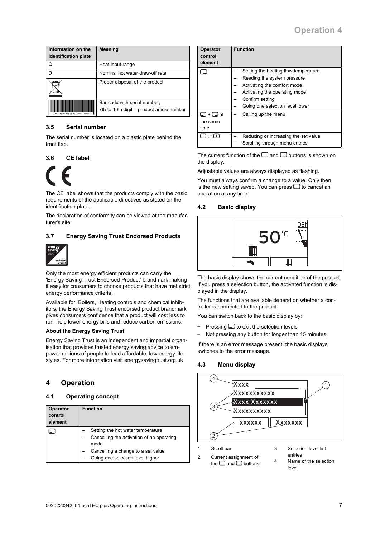| Information on the<br>identification plate | <b>Meaning</b>                                                             |
|--------------------------------------------|----------------------------------------------------------------------------|
| Q                                          | Heat input range                                                           |
| ח                                          | Nominal hot water draw-off rate                                            |
|                                            | Proper disposal of the product                                             |
|                                            | Bar code with serial number,<br>7th to 16th digit = product article number |

#### **3.5 Serial number**

The serial number is located on a plastic plate behind the front flap.

#### **3.6 CE label**



The CE label shows that the products comply with the basic requirements of the applicable directives as stated on the identification plate.

The declaration of conformity can be viewed at the manufacturer's site.

#### **3.7 Energy Saving Trust Endorsed Products**



Only the most energy efficient products can carry the 'Energy Saving Trust Endorsed Product' brandmark making it easy for consumers to choose products that have met strict energy performance criteria.

Available for: Boilers, Heating controls and chemical inhibitors, the Energy Saving Trust endorsed product brandmark gives consumers confidence that a product will cost less to run, help lower energy bills and reduce carbon emissions.

#### **About the Energy Saving Trust**

Energy Saving Trust is an independent and impartial organisation that provides trusted energy saving advice to empower millions of people to lead affordable, low energy lifestyles. For more information visit energysavingtrust.org.uk

## **4 Operation**

#### **4.1 Operating concept**

| Operator<br>control<br>element | <b>Function</b>                           |  |  |  |
|--------------------------------|-------------------------------------------|--|--|--|
|                                | Setting the hot water temperature         |  |  |  |
|                                | Cancelling the activation of an operating |  |  |  |
|                                | mode                                      |  |  |  |
|                                | Cancelling a change to a set value        |  |  |  |
|                                | Going one selection level higher          |  |  |  |

| <b>Operator</b><br>control<br>element      | <b>Function</b>                      |
|--------------------------------------------|--------------------------------------|
|                                            | Setting the heating flow temperature |
|                                            | Reading the system pressure          |
|                                            | Activating the comfort mode          |
|                                            | Activating the operating mode        |
|                                            | Confirm setting                      |
|                                            | Going one selection level lower      |
| $\lfloor - \rfloor + \lfloor - \rfloor$ at | Calling up the menu                  |
| the same                                   |                                      |
| time                                       |                                      |
| $\exists$ or $\boxplus$                    | Reducing or increasing the set value |
|                                            | Scrolling through menu entries       |

The current function of the  $\Box$  and  $\Box$  buttons is shown on the display.

Adjustable values are always displayed as flashing.

You must always confirm a change to a value. Only then is the new setting saved. You can press  $\Box$  to cancel an operation at any time.

#### **4.2 Basic display**



The basic display shows the current condition of the product. If you press a selection button, the activated function is displayed in the display.

The functions that are available depend on whether a controller is connected to the product.

You can switch back to the basic display by:

- Pressing  $\Box$  to exit the selection levels
- Not pressing any button for longer than 15 minutes.

If there is an error message present, the basic displays switches to the error message.

#### **4.3 Menu display**

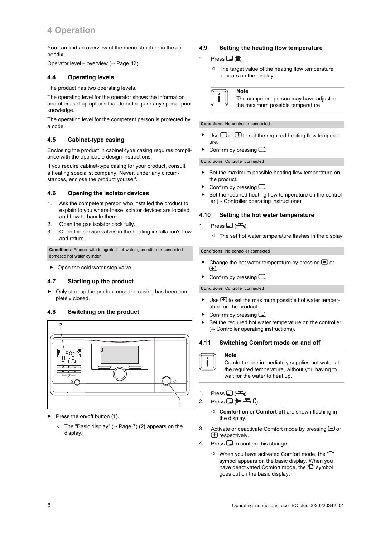## **4 Operation**

You can find an overview of the menu structure in the appendix.

Operator level – overview (→ Page 12)

#### **4.4 Operating levels**

The product has two operating levels.

The operating level for the operator shows the information and offers set-up options that do not require any special prior knowledge

The operating level for the competent person is protected by a code.

#### **4.5 Cabinet-type casing**

Enclosing the product in cabinet-type casing requires compliance with the applicable design instructions.

If you require cabinet-type casing for your product, consult a heating specialist company. Never, under any circumstances, enclose the product yourself.

#### **4.6 Opening the isolator devices**

- 1. Ask the competent person who installed the product to explain to you where these isolator devices are located and how to handle them.
- 2. Open the gas isolator cock fully.
- 3. Open the service valves in the heating installation's flow and return.

**Conditions**: Product with integrated hot water generation or connected domestic hot water cylinder

▶ Open the cold water stop valve.

#### **4.7 Starting up the product**

▶ Only start up the product once the casing has been completely closed.

#### **4.8 Switching on the product**



- ▶ Press the on/off button **(1)**.
	- ◁ The "Basic display" (→ Page 7) **(2)** appears on the display.

#### **4.9 Setting the heating flow temperature**

- 1. Press  $\Box$  ( $\blacksquare$ ).
	- ◁ The target value of the heating flow temperature appears on the display.



The competent person may have adjusted the maximum possible temperature.

#### **Conditions**: No controller connected

**Note**

- $\triangleright$  Use  $\Box$  or  $\boxplus$  to set the required heating flow temperature.
- Confirm by pressing  $\Box$

#### **Conditions**: Controller connected

- Set the maximum possible heating flow temperature on the product.
- $\triangleright$  Confirm by pressing  $\square$ .
- Set the required heating flow temperature on the controller (→ Controller operating instructions).

#### **4.10 Setting the hot water temperature**

- 1. Press  $\Box$  ( $\blacktriangleright$ ).
	- ◁ The set hot water temperature flashes in the display.

#### **Conditions**: No controller connected

- $\triangleright$  Change the hot water temperature by pressing  $\bigcirc$  or .
- Confirm by pressing  $\Box$ .

#### **Conditions**: Controller connected

- Use  $\bigoplus$  to set the maximum possible hot water temperature on the product.
- $\triangleright$  Confirm by pressing  $\square$ .
- Set the required hot water temperature on the controller (→ Controller operating instructions).

#### **4.11 Switching Comfort mode on and off**

#### **Note**

Comfort mode immediately supplies hot water at the required temperature, without you having to wait for the water to heat up.

- 1. Press  $\Box$  ( $\blacktriangleright$ ).
- 2. Press  $\Box$  ( $\blacktriangleright$   $\blacktriangleright$   $\Box$ ).
	- ◁ **Comfort on** or **Comfort off** are shown flashing in the display.
- 3. Activate or deactivate Comfort mode by pressing  $\Box$  or  $E$  respectively.
- 4. Press  $\Box$  to confirm this change.
	- $\triangleleft$  When you have activated Comfort mode, the " $\mathbb{C}$ " symbol appears on the basic display. When you have deactivated Comfort mode, the " $\mathbb{C}$ " symbol goes out on the basic display.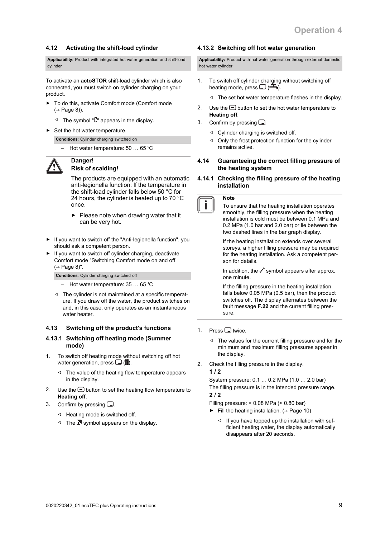### **4.12 Activating the shift-load cylinder**

**Applicability:** Product with integrated hot water generation and shift-load cylinder

To activate an **actoSTOR** shift-load cylinder which is also connected, you must switch on cylinder charging on your product.

- ▶ To do this, activate Comfort mode (Comfort mode)  $(\rightarrow$  Page 8)).
	- $\triangleleft$  The symbol " $\overline{C}$ " appears in the display.
- ▶ Set the hot water temperature.

**Conditions**: Cylinder charging switched on

– Hot water temperature: 50 … 65 ℃



#### **Danger! Risk of scalding!**

The products are equipped with an automatic anti-legionella function: If the temperature in the shift-load cylinder falls below 50 °C for 24 hours, the cylinder is heated up to 70 °C once.

- $\blacktriangleright$  Please note when drawing water that it can be very hot.
- If you want to switch off the "Anti-legionella function", you should ask a competent person.
- If you want to switch off cylinder charging, deactivate Comfort mode "Switching Comfort mode on and off  $(\rightarrow$  Page 8)".

**Conditions**: Cylinder charging switched off

- Hot water temperature: 35 … 65 ℃
- ◁ The cylinder is not maintained at a specific temperature. If you draw off the water, the product switches on and, in this case, only operates as an instantaneous water heater.

#### **4.13 Switching off the product's functions**

#### **4.13.1 Switching off heating mode (Summer mode)**

- 1. To switch off heating mode without switching off hot water generation, press  $\Box$  ( $\mathbb{I}$ ).
	- ◁ The value of the heating flow temperature appears in the display.
- 2. Use the  $\bigcirc$  button to set the heating flow temperature to **Heating off**.
- 3. Confirm by pressing  $\Box$ .
	- ◁ Heating mode is switched off.
	- $\triangleleft$  The **N** symbol appears on the display.

#### **4.13.2 Switching off hot water generation**

**Applicability:** Product with hot water generation through external domestic hot water cylinder

- 1. To switch off cylinder charging without switching off heating mode, press  $\Box$  ( $\Xi$ ).
	- ◁ The set hot water temperature flashes in the display.
- 2. Use the  $\bigcirc$  button to set the hot water temperature to **Heating off**.
- 3. Confirm by pressing  $\square$ .
	- ◁ Cylinder charging is switched off.
	- ◁ Only the frost protection function for the cylinder remains active.
- **4.14 Guaranteeing the correct filling pressure of the heating system**
- **4.14.1 Checking the filling pressure of the heating installation**

#### **Note**

To ensure that the heating installation operates smoothly, the filling pressure when the heating installation is cold must be between 0.1 MPa and 0.2 MPa (1.0 bar and 2.0 bar) or lie between the two dashed lines in the bar graph display.

If the heating installation extends over several storeys, a higher filling pressure may be required for the heating installation. Ask a competent person for details.

In addition, the  $\mathcal S$  symbol appears after approx. one minute.

If the filling pressure in the heating installation falls below 0.05 MPa (0.5 bar), then the product switches off. The display alternates between the fault message **F.22** and the current filling pressure.

- 1. Press  $\Box$  twice.
	- ◁ The values for the current filling pressure and for the minimum and maximum filling pressures appear in the display.
- 2. Check the filling pressure in the display.

#### **1 / 2**

System pressure: 0.1 … 0.2 MPa (1.0 … 2.0 bar) The filling pressure is in the intended pressure range. **2 / 2**

Filling pressure: < 0.08 MPa (< 0.80 bar)

- ▶ Fill the heating installation.  $(→$  Page 10)
	- ◁ If you have topped up the installation with sufficient heating water, the display automatically disappears after 20 seconds.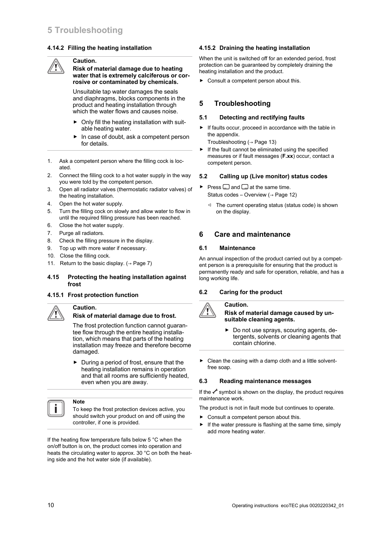#### **4.14.2 Filling the heating installation**

#### **Caution.**

**Risk of material damage due to heating water that is extremely calciferous or corrosive or contaminated by chemicals.**

Unsuitable tap water damages the seals and diaphragms, blocks components in the product and heating installation through which the water flows and causes noise.

- $\triangleright$  Only fill the heating installation with suitable heating water.
- In case of doubt, ask a competent person for details.
- 1. Ask a competent person where the filling cock is located.
- 2. Connect the filling cock to a hot water supply in the way you were told by the competent person.
- 3. Open all radiator valves (thermostatic radiator valves) of the heating installation.
- 4. Open the hot water supply.
- 5. Turn the filling cock on slowly and allow water to flow in until the required filling pressure has been reached.
- 6. Close the hot water supply.
- 7. Purge all radiators.
- 8. Check the filling pressure in the display.
- 9. Top up with more water if necessary.
- 10. Close the filling cock.
- 11. Return to the basic display.  $( \rightarrow$  Page 7)

#### **4.15 Protecting the heating installation against frost**

#### **4.15.1 Frost protection function**

**Caution.**

## **Risk of material damage due to frost.**

The frost protection function cannot guarantee flow through the entire heating installation, which means that parts of the heating installation may freeze and therefore become damaged.

 $\triangleright$  During a period of frost, ensure that the heating installation remains in operation and that all rooms are sufficiently heated, even when you are away.



## **Note**

To keep the frost protection devices active, you should switch your product on and off using the controller, if one is provided.

If the heating flow temperature falls below 5 °C when the on/off button is on, the product comes into operation and heats the circulating water to approx. 30 °C on both the heating side and the hot water side (if available).

#### **4.15.2 Draining the heating installation**

When the unit is switched off for an extended period, frost protection can be guaranteed by completely draining the heating installation and the product.

▶ Consult a competent person about this.

## **5 Troubleshooting**

#### **5.1 Detecting and rectifying faults**

▶ If faults occur, proceed in accordance with the table in the appendix.

Troubleshooting  $(→$  Page 13)

 $\blacktriangleright$  If the fault cannot be eliminated using the specified measures or if fault messages (**F.xx**) occur, contact a competent person.

#### **5.2 Calling up (Live monitor) status codes**

- $\blacktriangleright$  Press  $\Box$  and  $\Box$  at the same time. Status codes – Overview ( $\rightarrow$  Page 12)
	- ◁ The current operating status (status code) is shown on the display.

## **6 Care and maintenance**

#### **6.1 Maintenance**

An annual inspection of the product carried out by a competent person is a prerequisite for ensuring that the product is permanently ready and safe for operation, reliable, and has a long working life.

#### **6.2 Caring for the product**

## **Caution.**

#### **Risk of material damage caused by unsuitable cleaning agents.**

- Do not use sprays, scouring agents, detergents, solvents or cleaning agents that contain chlorine.
- $\triangleright$  Clean the casing with a damp cloth and a little solventfree soap.

#### **6.3 Reading maintenance messages**

If the  $\mathcal I$  symbol is shown on the display, the product requires maintenance work.

The product is not in fault mode but continues to operate.

- ▶ Consult a competent person about this.
- ▶ If the water pressure is flashing at the same time, simply add more heating water.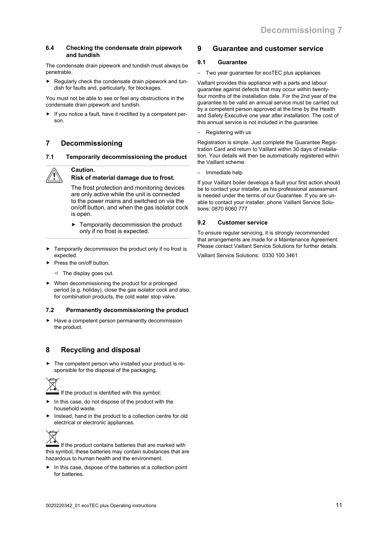#### **6.4 Checking the condensate drain pipework and tundish**

The condensate drain pipework and tundish must always be penetrable.

 $\blacktriangleright$  Regularly check the condensate drain pipework and tundish for faults and, particularly, for blockages.

You must not be able to see or feel any obstructions in the condensate drain pipework and tundish.

▶ If you notice a fault, have it rectified by a competent person.

## **7 Decommissioning**

#### **7.1 Temporarily decommissioning the product**

## **Caution.**

#### **Risk of material damage due to frost.**

The frost protection and monitoring devices are only active while the unit is connected to the power mains and switched on via the on/off button, and when the gas isolator cock is open.

- Temporarily decommission the product only if no frost is expected.
- ▶ Temporarily decommission the product only if no frost is expected.
- Press the on/off button.
	- ◁ The display goes out.
- ▶ When decommissioning the product for a prolonged period (e.g. holiday), close the gas isolator cock and also, for combination products, the cold water stop valve.

### **7.2 Permanently decommissioning the product**

▶ Have a competent person permanently decommission the product.

## **8 Recycling and disposal**

The competent person who installed your product is responsible for the disposal of the packaging.



If the product is identified with this symbol:

- In this case, do not dispose of the product with the household waste.
- Instead, hand in the product to a collection centre for old electrical or electronic appliances.



If the product contains batteries that are marked with this symbol, these batteries may contain substances that are hazardous to human health and the environment.

In this case, dispose of the batteries at a collection point for batteries.

## **9 Guarantee and customer service**

#### **9.1 Guarantee**

– Two year guarantee for ecoTEC plus appliances

Vaillant provides this appliance with a parts and labour guarantee against defects that may occur within twentyfour months of the installation date. For the 2nd year of the guarantee to be valid an annual service must be carried out by a competent person approved at the time by the Health and Safety Executive one year after installation. The cost of this annual service is not included in the guarantee.

– Registering with us

Registration is simple. Just complete the Guarantee Registration Card and return to Vaillant within 30 days of installation. Your details will then be automatically registered within the Vaillant scheme.

– Immediate help

If your Vaillant boiler develops a fault your first action should be to contact your installer, as his professional assessment is needed under the terms of our Guarantee. If you are unable to contact your installer, phone Vaillant Service Solutions: 0870 6060 777

#### **9.2 Customer service**

To ensure regular servicing, it is strongly recommended that arrangements are made for a Maintenance Agreement. Please contact Vaillant Service Solutions for further details.

Vaillant Service Solutions: 0330 100 3461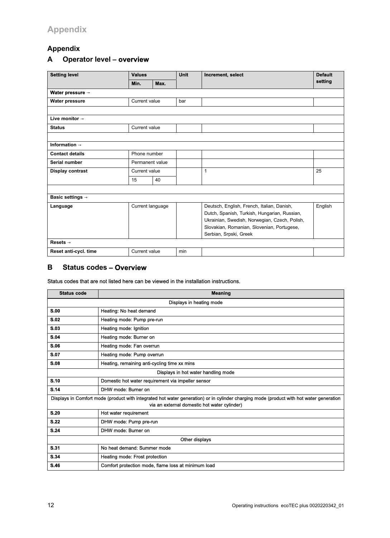## **Appendix**

## **A Operator level** – **overview**

| <b>Setting level</b>         | <b>Values</b>    |                 | <b>Unit</b> | Increment, select                                                                                                                                                                                                   | <b>Default</b> |
|------------------------------|------------------|-----------------|-------------|---------------------------------------------------------------------------------------------------------------------------------------------------------------------------------------------------------------------|----------------|
|                              | Min.             | Max.            |             |                                                                                                                                                                                                                     | setting        |
| Water pressure $\rightarrow$ |                  |                 |             |                                                                                                                                                                                                                     |                |
| <b>Water pressure</b>        | Current value    |                 | bar         |                                                                                                                                                                                                                     |                |
|                              |                  |                 |             |                                                                                                                                                                                                                     |                |
| Live monitor $\rightarrow$   |                  |                 |             |                                                                                                                                                                                                                     |                |
| <b>Status</b>                | Current value    |                 |             |                                                                                                                                                                                                                     |                |
|                              |                  |                 |             |                                                                                                                                                                                                                     |                |
| Information $\rightarrow$    |                  |                 |             |                                                                                                                                                                                                                     |                |
| <b>Contact details</b>       |                  | Phone number    |             |                                                                                                                                                                                                                     |                |
| Serial number                |                  | Permanent value |             |                                                                                                                                                                                                                     |                |
| Display contrast             |                  | Current value   |             | $\mathbf{1}$                                                                                                                                                                                                        | 25             |
|                              | 15               | 40              |             |                                                                                                                                                                                                                     |                |
|                              |                  |                 |             |                                                                                                                                                                                                                     |                |
| <b>Basic settings →</b>      |                  |                 |             |                                                                                                                                                                                                                     |                |
| Language                     | Current language |                 |             | Deutsch, English, French, Italian, Danish,<br>Dutch, Spanish, Turkish, Hungarian, Russian,<br>Ukrainian, Swedish, Norwegian, Czech, Polish,<br>Slovakian, Romanian, Slovenian, Portugese,<br>Serbian, Srpski, Greek | English        |
| Resets $\rightarrow$         |                  |                 |             |                                                                                                                                                                                                                     |                |
| Reset anti-cycl. time        | Current value    |                 | min         |                                                                                                                                                                                                                     |                |

## **B Status codes** – **Overview**

Status codes that are not listed here can be viewed in the installation instructions.

| <b>Status code</b>                                                                                                                                                                      | <b>Meaning</b>                                      |  |  |
|-----------------------------------------------------------------------------------------------------------------------------------------------------------------------------------------|-----------------------------------------------------|--|--|
| Displays in heating mode                                                                                                                                                                |                                                     |  |  |
| S.00                                                                                                                                                                                    | Heating: No heat demand                             |  |  |
| <b>S.02</b>                                                                                                                                                                             | Heating mode: Pump pre-run                          |  |  |
| <b>S.03</b>                                                                                                                                                                             | Heating mode: Ignition                              |  |  |
| S.04                                                                                                                                                                                    | Heating mode: Burner on                             |  |  |
| <b>S.06</b>                                                                                                                                                                             | Heating mode: Fan overrun                           |  |  |
| <b>S.07</b>                                                                                                                                                                             | Heating mode: Pump overrun                          |  |  |
| <b>S.08</b>                                                                                                                                                                             | Heating, remaining anti-cycling time xx mins        |  |  |
| Displays in hot water handling mode                                                                                                                                                     |                                                     |  |  |
| S.10                                                                                                                                                                                    | Domestic hot water requirement via impeller sensor  |  |  |
| <b>S.14</b>                                                                                                                                                                             | DHW mode: Burner on                                 |  |  |
| Displays in Comfort mode (product with integrated hot water generation) or in cylinder charging mode (product with hot water generation<br>via an external domestic hot water cylinder) |                                                     |  |  |
| <b>S.20</b>                                                                                                                                                                             | Hot water requirement                               |  |  |
| <b>S.22</b>                                                                                                                                                                             | DHW mode: Pump pre-run                              |  |  |
| <b>S.24</b>                                                                                                                                                                             | DHW mode: Burner on                                 |  |  |
| Other displays                                                                                                                                                                          |                                                     |  |  |
| <b>S.31</b>                                                                                                                                                                             | No heat demand: Summer mode                         |  |  |
| S.34                                                                                                                                                                                    | Heating mode: Frost protection                      |  |  |
| <b>S.46</b>                                                                                                                                                                             | Comfort protection mode, flame loss at minimum load |  |  |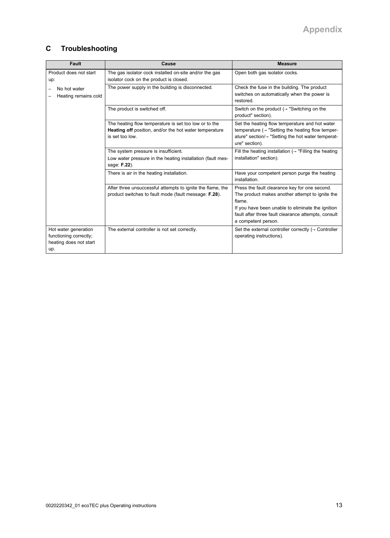## **C Troubleshooting**

| <b>Fault</b>                                                                    | Cause                                                                                                                              | <b>Measure</b>                                                                                                                                                                                                                                |
|---------------------------------------------------------------------------------|------------------------------------------------------------------------------------------------------------------------------------|-----------------------------------------------------------------------------------------------------------------------------------------------------------------------------------------------------------------------------------------------|
| Product does not start<br>up:                                                   | The gas isolator cock installed on-site and/or the gas<br>isolator cock on the product is closed.                                  | Open both gas isolator cocks.                                                                                                                                                                                                                 |
| No hot water<br>—<br>Heating remains cold                                       | The power supply in the building is disconnected.                                                                                  | Check the fuse in the building. The product<br>switches on automatically when the power is<br>restored.                                                                                                                                       |
|                                                                                 | The product is switched off.                                                                                                       | Switch on the product ( $\rightarrow$ "Switching on the<br>product" section).                                                                                                                                                                 |
|                                                                                 | The heating flow temperature is set too low or to the<br>Heating off position, and/or the hot water temperature<br>is set too low. | Set the heating flow temperature and hot water<br>temperature $(\rightarrow$ "Setting the heating flow temper-<br>ature" section/ $\rightarrow$ "Setting the hot water temperat-<br>ure" section).                                            |
|                                                                                 | The system pressure is insufficient.<br>Low water pressure in the heating installation (fault mes-<br>sage: F.22).                 | Fill the heating installation ( $\rightarrow$ "Filling the heating<br>installation" section).                                                                                                                                                 |
|                                                                                 | There is air in the heating installation.                                                                                          | Have your competent person purge the heating<br>installation.                                                                                                                                                                                 |
|                                                                                 | After three unsuccessful attempts to ignite the flame, the<br>product switches to fault mode (fault message: F.28).                | Press the fault clearance key for one second.<br>The product makes another attempt to ignite the<br>flame.<br>If you have been unable to eliminate the ignition<br>fault after three fault clearance attempts, consult<br>a competent person. |
| Hot water generation<br>functioning correctly;<br>heating does not start<br>up. | The external controller is not set correctly.                                                                                      | Set the external controller correctly $(\rightarrow$ Controller<br>operating instructions).                                                                                                                                                   |